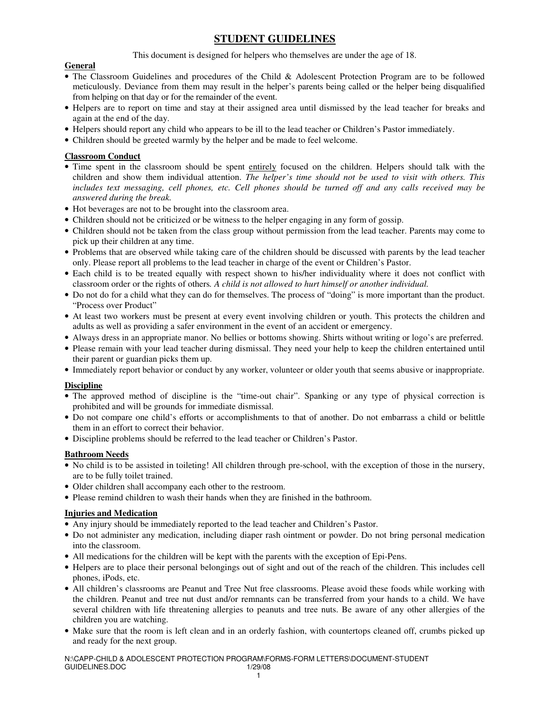# **STUDENT GUIDELINES**

This document is designed for helpers who themselves are under the age of 18.

## **General**

- The Classroom Guidelines and procedures of the Child & Adolescent Protection Program are to be followed meticulously. Deviance from them may result in the helper's parents being called or the helper being disqualified from helping on that day or for the remainder of the event.
- Helpers are to report on time and stay at their assigned area until dismissed by the lead teacher for breaks and again at the end of the day.
- Helpers should report any child who appears to be ill to the lead teacher or Children's Pastor immediately.
- Children should be greeted warmly by the helper and be made to feel welcome.

## **Classroom Conduct**

- Time spent in the classroom should be spent entirely focused on the children. Helpers should talk with the children and show them individual attention. *The helper's time should not be used to visit with others. This includes text messaging, cell phones, etc. Cell phones should be turned off and any calls received may be answered during the break.*
- Hot beverages are not to be brought into the classroom area.
- Children should not be criticized or be witness to the helper engaging in any form of gossip.
- Children should not be taken from the class group without permission from the lead teacher. Parents may come to pick up their children at any time.
- Problems that are observed while taking care of the children should be discussed with parents by the lead teacher only. Please report all problems to the lead teacher in charge of the event or Children's Pastor.
- Each child is to be treated equally with respect shown to his/her individuality where it does not conflict with classroom order or the rights of others*. A child is not allowed to hurt himself or another individual.*
- Do not do for a child what they can do for themselves. The process of "doing" is more important than the product. "Process over Product"
- At least two workers must be present at every event involving children or youth. This protects the children and adults as well as providing a safer environment in the event of an accident or emergency.
- Always dress in an appropriate manor. No bellies or bottoms showing. Shirts without writing or logo's are preferred.
- Please remain with your lead teacher during dismissal. They need your help to keep the children entertained until their parent or guardian picks them up.
- Immediately report behavior or conduct by any worker, volunteer or older youth that seems abusive or inappropriate.

### **Discipline**

- The approved method of discipline is the "time-out chair". Spanking or any type of physical correction is prohibited and will be grounds for immediate dismissal.
- Do not compare one child's efforts or accomplishments to that of another. Do not embarrass a child or belittle them in an effort to correct their behavior.
- Discipline problems should be referred to the lead teacher or Children's Pastor.

#### **Bathroom Needs**

- No child is to be assisted in toileting! All children through pre-school, with the exception of those in the nursery, are to be fully toilet trained.
- Older children shall accompany each other to the restroom.
- Please remind children to wash their hands when they are finished in the bathroom.

#### **Injuries and Medication**

- Any injury should be immediately reported to the lead teacher and Children's Pastor.
- Do not administer any medication, including diaper rash ointment or powder. Do not bring personal medication into the classroom.
- All medications for the children will be kept with the parents with the exception of Epi-Pens.
- Helpers are to place their personal belongings out of sight and out of the reach of the children. This includes cell phones, iPods, etc.
- All children's classrooms are Peanut and Tree Nut free classrooms. Please avoid these foods while working with the children. Peanut and tree nut dust and/or remnants can be transferred from your hands to a child. We have several children with life threatening allergies to peanuts and tree nuts. Be aware of any other allergies of the children you are watching.
- Make sure that the room is left clean and in an orderly fashion, with countertops cleaned off, crumbs picked up and ready for the next group.

N:\CAPP-CHILD & ADOLESCENT PROTECTION PROGRAM\FORMS-FORM LETTERS\DOCUMENT-STUDENT GUIDELINES.DOC 1/29/08